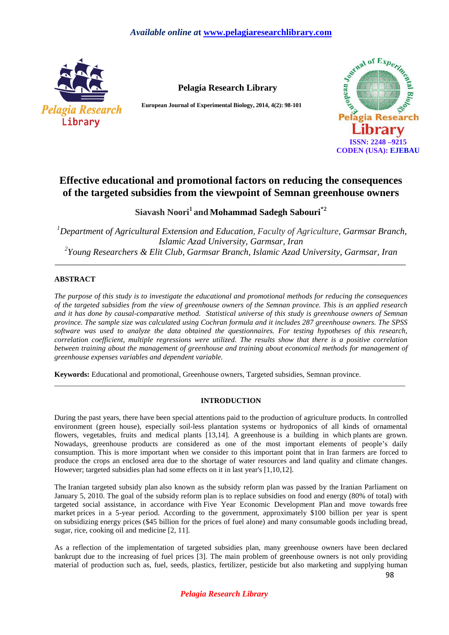

**Pelagia Research Library**

**European Journal of Experimental Biology, 2014, 4(2): 98-101** 



# **Effective educational and promotional factors on reducing the consequences of the targeted subsidies from the viewpoint of Semnan greenhouse owners**

# **Siavash Noori<sup>1</sup>and Mohammad Sadegh Sabouri\*2**

*<sup>1</sup>Department of Agricultural Extension and Education, Faculty of Agriculture, Garmsar Branch, Islamic Azad University, Garmsar, Iran 2 Young Researchers & Elit Club, Garmsar Branch, Islamic Azad University, Garmsar, Iran*

*\_\_\_\_\_\_\_\_\_\_\_\_\_\_\_\_\_\_\_\_\_\_\_\_\_\_\_\_\_\_\_\_\_\_\_\_\_\_\_\_\_\_\_\_\_\_\_\_\_\_\_\_\_\_\_\_\_\_\_\_\_\_\_\_\_\_\_\_\_\_\_\_\_\_\_\_\_\_\_\_\_\_\_\_\_\_\_\_\_\_\_\_\_* 

# **ABSTRACT**

*The purpose of this study is to investigate the educational and promotional methods for reducing the consequences of the targeted subsidies from the view of greenhouse owners of the Semnan province. This is an applied research and it has done by causal-comparative method. Statistical universe of this study is greenhouse owners of Semnan province. The sample size was calculated using Cochran formula and it includes 287 greenhouse owners. The SPSS software was used to analyze the data obtained the questionnaires. For testing hypotheses of this research, correlation coefficient, multiple regressions were utilized. The results show that there is a positive correlation between training about the management of greenhouse and training about economical methods for management of greenhouse expenses variables and dependent variable.* 

**Keywords:** Educational and promotional, Greenhouse owners, Targeted subsidies, Semnan province.

# **INTRODUCTION**

\_\_\_\_\_\_\_\_\_\_\_\_\_\_\_\_\_\_\_\_\_\_\_\_\_\_\_\_\_\_\_\_\_\_\_\_\_\_\_\_\_\_\_\_\_\_\_\_\_\_\_\_\_\_\_\_\_\_\_\_\_\_\_\_\_\_\_\_\_\_\_\_\_\_\_\_\_\_\_\_\_\_\_\_\_\_\_\_\_\_\_\_\_

During the past years, there have been special attentions paid to the production of agriculture products. In controlled environment (green house), especially soil-less plantation systems or hydroponics of all kinds of ornamental flowers, vegetables, fruits and medical plants [13,14]. A greenhouse is a building in which plants are grown. Nowadays, greenhouse products are considered as one of the most important elements of people's daily consumption. This is more important when we consider to this important point that in Iran farmers are forced to produce the crops an enclosed area due to the shortage of water resources and land quality and climate changes. However; targeted subsidies plan had some effects on it in last year's [1,10,12].

The Iranian targeted subsidy plan also known as the subsidy reform plan was passed by the Iranian Parliament on January 5, 2010. The goal of the subsidy reform plan is to replace subsidies on food and energy (80% of total) with targeted social assistance, in accordance with Five Year Economic Development Plan and move towards free market prices in a 5-year period. According to the government, approximately \$100 billion per year is spent on subsidizing energy prices (\$45 billion for the prices of fuel alone) and many consumable goods including bread, sugar, rice, cooking oil and medicine [2, 11].

As a reflection of the implementation of targeted subsidies plan, many greenhouse owners have been declared bankrupt due to the increasing of fuel prices [3]. The main problem of greenhouse owners is not only providing material of production such as, fuel, seeds, plastics, fertilizer, pesticide but also marketing and supplying human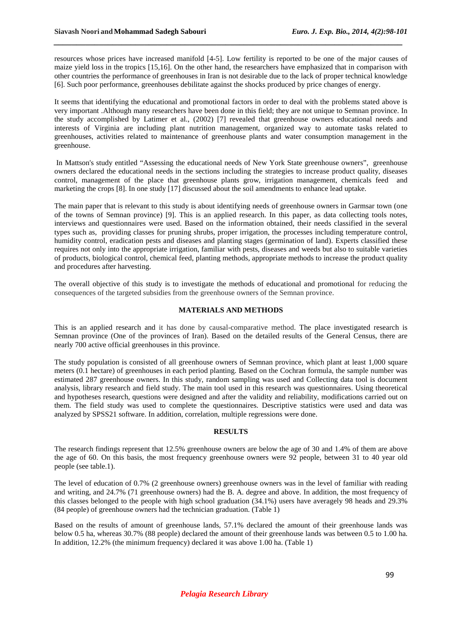resources whose prices have increased manifold [4-5]. Low fertility is reported to be one of the major causes of maize yield loss in the tropics [15,16]. On the other hand, the researchers have emphasized that in comparison with other countries the performance of greenhouses in Iran is not desirable due to the lack of proper technical knowledge [6]. Such poor performance, greenhouses debilitate against the shocks produced by price changes of energy.

*\_\_\_\_\_\_\_\_\_\_\_\_\_\_\_\_\_\_\_\_\_\_\_\_\_\_\_\_\_\_\_\_\_\_\_\_\_\_\_\_\_\_\_\_\_\_\_\_\_\_\_\_\_\_\_\_\_\_\_\_\_\_\_\_\_\_\_\_\_\_\_\_\_\_\_\_\_*

It seems that identifying the educational and promotional factors in order to deal with the problems stated above is very important .Although many researchers have been done in this field; they are not unique to Semnan province. In the study accomplished by Latimer et al., (2002) [7] revealed that greenhouse owners educational needs and interests of Virginia are including plant nutrition management, organized way to automate tasks related to greenhouses, activities related to maintenance of greenhouse plants and water consumption management in the greenhouse.

 In Mattson's study entitled "Assessing the educational needs of New York State greenhouse owners", greenhouse owners declared the educational needs in the sections including the strategies to increase product quality, diseases control, management of the place that greenhouse plants grow, irrigation management, chemicals feed and marketing the crops [8]. In one study [17] discussed about the soil amendments to enhance lead uptake.

The main paper that is relevant to this study is about identifying needs of greenhouse owners in Garmsar town (one of the towns of Semnan province) [9]. This is an applied research. In this paper, as data collecting tools notes, interviews and questionnaires were used. Based on the information obtained, their needs classified in the several types such as, providing classes for pruning shrubs, proper irrigation, the processes including temperature control, humidity control, eradication pests and diseases and planting stages (germination of land). Experts classified these requires not only into the appropriate irrigation, familiar with pests, diseases and weeds but also to suitable varieties of products, biological control, chemical feed, planting methods, appropriate methods to increase the product quality and procedures after harvesting.

The overall objective of this study is to investigate the methods of educational and promotional for reducing the consequences of the targeted subsidies from the greenhouse owners of the Semnan province.

## **MATERIALS AND METHODS**

This is an applied research and it has done by causal-comparative method. The place investigated research is Semnan province (One of the provinces of Iran). Based on the detailed results of the General Census, there are nearly 700 active official greenhouses in this province.

The study population is consisted of all greenhouse owners of Semnan province, which plant at least 1,000 square meters (0.1 hectare) of greenhouses in each period planting. Based on the Cochran formula, the sample number was estimated 287 greenhouse owners. In this study, random sampling was used and Collecting data tool is document analysis, library research and field study. The main tool used in this research was questionnaires. Using theoretical and hypotheses research, questions were designed and after the validity and reliability, modifications carried out on them. The field study was used to complete the questionnaires. Descriptive statistics were used and data was analyzed by SPSS21 software. In addition, correlation, multiple regressions were done.

#### **RESULTS**

The research findings represent that 12.5% greenhouse owners are below the age of 30 and 1.4% of them are above the age of 60. On this basis, the most frequency greenhouse owners were 92 people, between 31 to 40 year old people (see table.1).

The level of education of 0.7% (2 greenhouse owners) greenhouse owners was in the level of familiar with reading and writing, and 24.7% (71 greenhouse owners) had the B. A. degree and above. In addition, the most frequency of this classes belonged to the people with high school graduation (34.1%) users have averagely 98 heads and 29.3% (84 people) of greenhouse owners had the technician graduation. (Table 1)

Based on the results of amount of greenhouse lands, 57.1% declared the amount of their greenhouse lands was below 0.5 ha, whereas 30.7% (88 people) declared the amount of their greenhouse lands was between 0.5 to 1.00 ha. In addition, 12.2% (the minimum frequency) declared it was above 1.00 ha. (Table 1)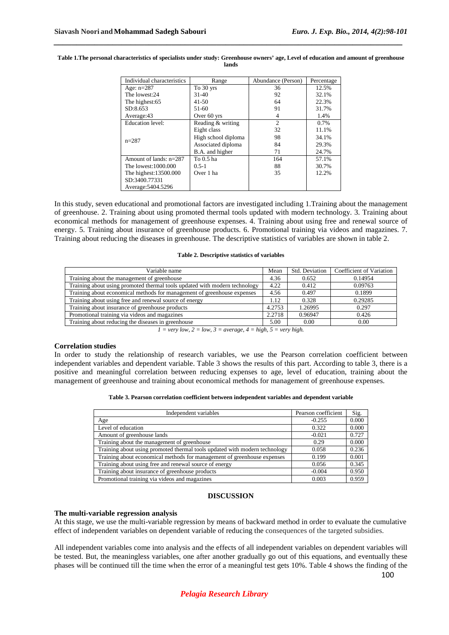| Individual characteristics | Range               | Abundance (Person) | Percentage |
|----------------------------|---------------------|--------------------|------------|
| Age: $n=287$               | To 30 yrs           | 36                 | 12.5%      |
| The lowest:24              | $31-40$             | 92                 | 32.1%      |
| The highest:65             | $41 - 50$           | 64                 | 22.3%      |
| SD:8.653                   | 51-60               | 91                 | 31.7%      |
| Average:43                 | Over 60 yrs         | 4                  | 1.4%       |
| <b>Education</b> level:    | Reading & writing   | $\overline{2}$     | $0.7\%$    |
| $n=287$                    | Eight class         | 32                 | 11.1%      |
|                            | High school diploma | 98                 | 34.1%      |
|                            | Associated diploma  | 84                 | 29.3%      |
|                            | B.A. and higher     | 71                 | 24.7%      |
| Amount of lands: $n=287$   | To 0.5 ha           | 164                | 57.1%      |
| The lowest:1000.000        | $0.5 - 1$           | 88                 | 30.7%      |
| The highest:13500.000      | Over 1 ha           | 35                 | 12.2%      |
| SD:3400.77331              |                     |                    |            |
| Average: 5404.5296         |                     |                    |            |

#### **Table 1.The personal characteristics of specialists under study: Greenhouse owners' age, Level of education and amount of greenhouse lands**

*\_\_\_\_\_\_\_\_\_\_\_\_\_\_\_\_\_\_\_\_\_\_\_\_\_\_\_\_\_\_\_\_\_\_\_\_\_\_\_\_\_\_\_\_\_\_\_\_\_\_\_\_\_\_\_\_\_\_\_\_\_\_\_\_\_\_\_\_\_\_\_\_\_\_\_\_\_*

In this study, seven educational and promotional factors are investigated including 1.Training about the management of greenhouse. 2. Training about using promoted thermal tools updated with modern technology. 3. Training about economical methods for management of greenhouse expenses. 4. Training about using free and renewal source of energy. 5. Training about insurance of greenhouse products. 6. Promotional training via videos and magazines. 7. Training about reducing the diseases in greenhouse. The descriptive statistics of variables are shown in table 2.

#### **Table 2. Descriptive statistics of variables**

| Variable name                                                              |        | Std. Deviation | Coefficient of Variation |
|----------------------------------------------------------------------------|--------|----------------|--------------------------|
| Training about the management of greenhouse                                |        | 0.652          | 0.14954                  |
| Training about using promoted thermal tools updated with modern technology | 4.22   | 0.412          | 0.09763                  |
| Training about economical methods for management of greenhouse expenses    | 4.56   | 0.497          | 0.1899                   |
| Training about using free and renewal source of energy                     | 1.12   | 0.328          | 0.29285                  |
| Training about insurance of greenhouse products                            | 4.2753 | 1.26995        | 0.297                    |
| Promotional training via videos and magazines                              | 2.2718 | 0.96947        | 0.426                    |
| Training about reducing the diseases in greenhouse                         | 5.00   | 0.00           | 0.00                     |

 $1 = \text{very low}, 2 = \text{low}, 3 = \text{average}, 4 = \text{high}, 5 = \text{very high}.$ 

## **Correlation studies**

In order to study the relationship of research variables, we use the Pearson correlation coefficient between independent variables and dependent variable. Table 3 shows the results of this part. According to table 3, there is a positive and meaningful correlation between reducing expenses to age, level of education, training about the management of greenhouse and training about economical methods for management of greenhouse expenses.

| Table 3. Pearson correlation coefficient between independent variables and dependent variable |  |  |
|-----------------------------------------------------------------------------------------------|--|--|
|-----------------------------------------------------------------------------------------------|--|--|

| Independent variables                                                      | Pearson coefficient | Sig.  |
|----------------------------------------------------------------------------|---------------------|-------|
| Age                                                                        | $-0.255$            | 0.000 |
| Level of education                                                         | 0.322               | 0.000 |
| Amount of greenhouse lands                                                 | $-0.021$            | 0.727 |
| Training about the management of greenhouse                                | 0.29                | 0.000 |
| Training about using promoted thermal tools updated with modern technology | 0.058               | 0.236 |
| Training about economical methods for management of greenhouse expenses    | 0.199               | 0.001 |
| Training about using free and renewal source of energy                     | 0.056               | 0.345 |
| Training about insurance of greenhouse products                            | $-0.004$            | 0.950 |
| Promotional training via videos and magazines                              | 0.003               | 0.959 |

#### **DISCUSSION**

#### **The multi-variable regression analysis**

At this stage, we use the multi-variable regression by means of backward method in order to evaluate the cumulative effect of independent variables on dependent variable of reducing the consequences of the targeted subsidies.

All independent variables come into analysis and the effects of all independent variables on dependent variables will be tested. But, the meaningless variables, one after another gradually go out of this equations, and eventually these phases will be continued till the time when the error of a meaningful test gets 10%. Table 4 shows the finding of the